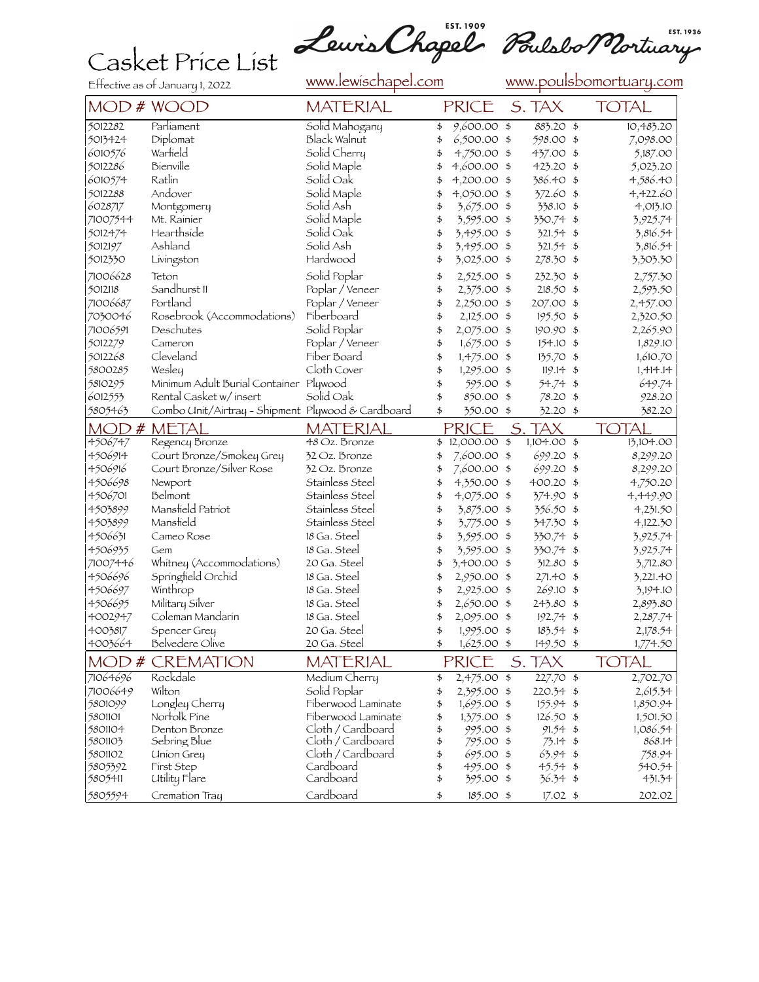## Casket Price List

Leuris Chapel Poulsbo Mortuary

[www.lewischapel.com](http://www.lewischapel.com) www.poulsbomortuary.com

| MOD#WOOD           |                                                   | MATERIAL                               |                           | PRICE                  |                   | S. TAX                 | TOTAL              |
|--------------------|---------------------------------------------------|----------------------------------------|---------------------------|------------------------|-------------------|------------------------|--------------------|
| 5012282            | Parliament                                        | Solid Mahogany                         | $\boldsymbol{\hat{\phi}}$ | $9,600.00$ \$          |                   | 883.20 \$              | 10, 483.20         |
| 5013424            | Diplomat                                          | <b>Black Walnut</b>                    | \$                        | $6,500.00$ \$          |                   | 598.00 \$              | 7,098.00           |
| 6010576            | Warfield                                          | Solid Cherry                           | \$                        | 4,750.00 \$            |                   | 437.00 \$              | 5,187.00           |
| 5012286            | Bienville                                         | Solid Maple                            | $\mathfrak{S}$            | $4,600.00$ \$          |                   | 423.20 \$              | 5,023.20           |
| 6010574            | Ratlín                                            | Solíd Oak                              | $\mathfrak{S}$            | 4,200.00 \$            |                   | 386.40 \$              | 4,586.40           |
| 5012288            | Andover                                           | Solíd Maple                            | $\mathfrak{S}$            | 4,050.00               | $\sqrt{5}$        | 372.60 \$              | 4,422.60           |
| 6028717            | Montgomery                                        | Solíd Ash                              | \$                        | 3,675.00               | $\sqrt{2}$        | 338.10 \$              | 4,013.10           |
| 71007544           | Mt. Rainier                                       | Solid Maple                            | \$                        | 3,595.00               | -\$               | 330.74 \$              | 3,925.74           |
| 5012474            | Hearthside                                        | Solíd Oak                              | \$                        | 3,495.00 \$            |                   | $321.54$ \$            | 3,816.54           |
| 5012197            | Ashland                                           | Solíd Ash                              | \$                        | 3,495.00 \$            |                   | $321.54$ \$            | 3,816.54           |
| 5012330            | Livingston                                        | Hardwood                               | \$                        | 3,025.00               | $\sqrt{2}$        | 278.30 \$              | 3,303.30           |
| 71006628           | Teton                                             | Solíd Poplar                           | \$                        | 2,525.00               | - \$              | 232.30 \$              | 2,757.30           |
| 5012118            | Sandhurst II                                      | Poplar / Veneer                        | \$                        | 2,375.00 \$            |                   | $218.50$ \$            | 2,593.50           |
| 71006687           | Portland                                          | Poplar / Veneer                        | \$                        | 2,250.00 \$            |                   | 207.00 \$              | 2,457.00           |
| 7030046            | Rosebrook (Accommodations)                        | Fiberboard                             | \$                        | 2,125.00 \$            |                   | $195.50*$              | 2,320.50           |
| 71006591           | Deschutes                                         | Solid Poplar                           | \$                        | 2,075.00 \$            |                   | 190.90 \$              | 2,265.90           |
| 5012279            | Cameron                                           | Poplar / Veneer                        | \$                        | $1,675.00$ \$          |                   | $154.10*$              | 1,829.10           |
| 5012268            | Cleveland                                         | Fiber Board                            | \$                        | 1,475.00 \$            |                   | 135.70 \$              | 1,610.70           |
| 5800285            | Wesley                                            | Cloth Cover                            | \$                        | 1,295.00               | $\sqrt{5}$        | $119.14$ \$            | 1,414.14           |
| 5810295            | Minimum Adult Burial Container Plywood            |                                        | \$                        | 595.00                 | $\sqrt{5}$        | $54.74$ \$             | 649.74             |
| 6012553            | Rental Casket w/ insert                           | Solid Oak                              | \$                        | 850.00                 | $\frac{4}{3}$     | 78.20 \$               | 928.20             |
| 5805463            | Combo Unit/Airtray - Shipment Plywood & Cardboard |                                        | \$                        | 350.00                 | $\frac{4}{5}$     | 32.20 \$               | 382.20             |
| MOD#               | METAI                                             | <b>MATERIAI</b>                        |                           | PRICE                  | $\mathcal{S}_{0}$ | TAX                    | TOTAI              |
| 4506747            | Regency Bronze                                    | 48 Oz. Bronze                          | \$                        | 12,000.00              | $\frac{4}{3}$     | 1,104.00 \$            | 13,104.00          |
| 4506914            | Court Bronze/Smokey Grey                          | 32 Oz. Bronze                          | \$                        | 7,600.00 \$            |                   | 699.20 \$              | 8,299.20           |
| 4506916            | Court Bronze/Silver Rose                          | 32 Oz. Bronze                          | \$                        | 7,600.00 \$            |                   | 699.20 \$              | 8,299.20           |
| 4506698            | Newport                                           | Stainless Steel                        | \$                        | 4,350.00 \$            |                   | 400.20 \$              | 4,750.20           |
| 4506701            | Belmont                                           | Stainless Steel                        | \$                        | 4,075.00 \$            |                   | 374.90 \$              | 4,449.90           |
| 4503899            | Mansfield Patriot                                 | Stainless Steel                        | \$                        | 3,875.00               | $\sqrt{2}$        | 356.50 \$              | 4,231.50           |
| 4503899            | Mansfield                                         | Stainless Steel                        | \$                        | 3,775.00               | $\sqrt{2}$        | 347.30 \$              | 4,122.30           |
| 4506631            | Cameo Rose                                        | 18 Ga. Steel                           | \$                        | 3,595.00               | $\sqrt{5}$        | 330.74 \$              | 3,925.74           |
| 4506935            | Gem                                               | 18 Ga. Steel                           | \$                        | 3,595.00               | - \$              | 330.74 \$              | 3,925.74           |
| 71007446           | Whitney (Accommodations)                          | 20 Ga. Steel                           | \$                        | 3,400.00               | $\mathfrak{p}$    | 312.80 \$              | 3,712.80           |
| 4506696            | Springfield Orchid                                | 18 Ga. Steel                           | \$                        | 2,950.00 \$            |                   | 271.40 \$              | 3,221.40           |
| 4506697            | Winthrop                                          | 18 Ga. Steel                           | \$                        | 2,925.00 \$            |                   | $269.10*$              | 3,194.10           |
| 4506695            | Military Silver                                   | 18 Ga. Steel                           | \$                        | $2,650.00$ \$          |                   | 243.80 \$              | 2,893.80           |
| 4002947            | Coleman Mandarín                                  | 18 Ga. Steel                           | \$                        | 2,095.00 \$            |                   | $192.74$ \$            | 2,287.74           |
| 4003817            | Spencer Grey                                      | 20 Ga. Steel                           | \$                        | 1,995.00 \$            |                   | $183.54$ \$            | 2,178.54           |
| 4003664            | Belvedere Olive                                   | 20 Ga. Steel                           | \$                        | 1,625.00               | $\frac{4}{5}$     | 149.50 \$              | 1,774.50           |
| MOD#               | <b>CREMATION</b>                                  | MATERIAL                               |                           | PRICE                  |                   | S. TAX                 | TOTAL              |
| 71064696           | Rockdale                                          | Medium Cherry                          | $\frac{4}{3}$             | 2,475.00 \$            |                   | 227.70 \$              | 2,702.70           |
| 71006649           | Wilton                                            | Solíd Poplar                           | \$                        | 2,395.00 \$            |                   | 220.34 \$              | 2,615.34           |
| 5801099            | Longley Cherry                                    | Fiberwood Laminate                     | \$                        | 1,695.00 \$            |                   | $155.94$ \$            | 1,850.94           |
| 5801101            | Nortolk Pine                                      | Fiberwood Laminate                     | \$                        | 1,375.00 \$            |                   | $126.50*$              | 1,501.50           |
| 5801104<br>5801103 | Denton Bronze<br>Sebring Blue                     | Cloth / Cardboard<br>Cloth / Cardboard | \$<br>\$                  | 995.00 \$<br>795.00 \$ |                   | $91.54$ \$<br>73.14 \$ | 1,086.54<br>868.14 |
| 5801102            | <b>Union Grey</b>                                 | Cloth / Cardboard                      | \$                        | 695.00 \$              |                   | $63.94$ \$             | 758.94             |
| 5805392            | First Step                                        | Cardboard                              | \$                        | 495.00 \$              |                   | $45.54$ \$             | 540.54             |
| 5805411            | Utility Flare                                     | Cardboard                              | \$                        | 395.00 \$              |                   | $36.34$ \$             | 431.34             |
| 5805594            | Cremation Tray                                    | Cardboard                              | \$                        | 185.00 \$              |                   | $17.02$ \$             | 202.02             |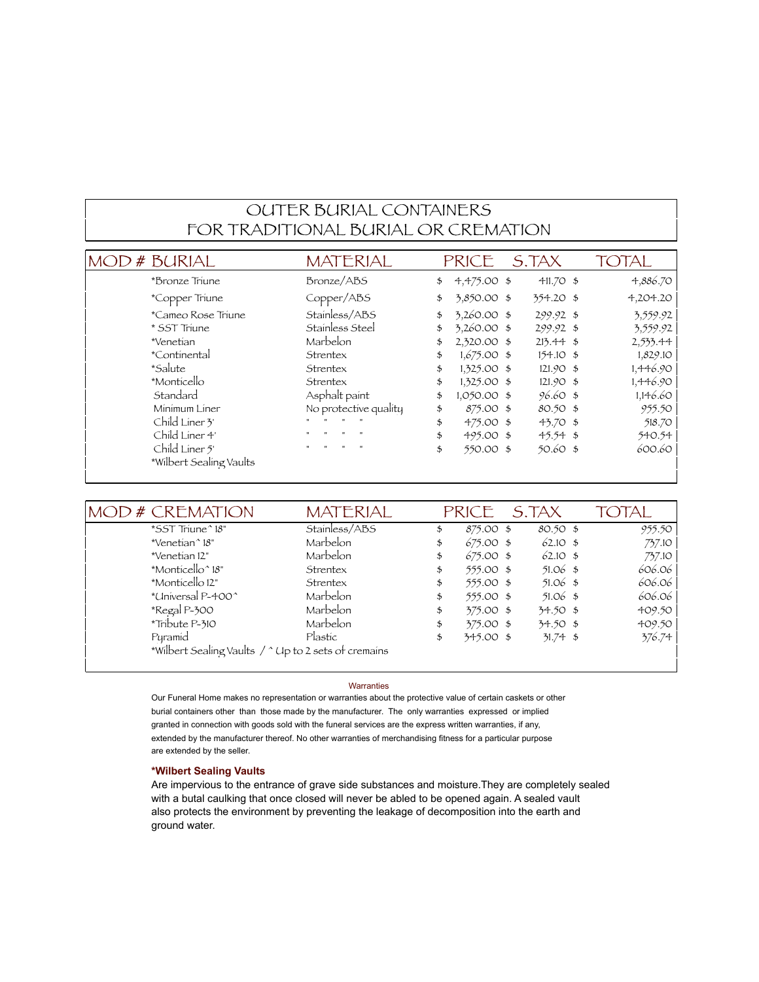## OUTER BURIAL CONTAINERS FOR TRADITIONAL BURIAL OR CREMATION

| MOD#BURIAL              | MATERIAL              |               | PRICE         | - S.TAX     |          |
|-------------------------|-----------------------|---------------|---------------|-------------|----------|
| *Bronze Triune          | Bronze/ABS            | \$            | $4,475.00$ \$ | $411.70$ \$ | 4,886.70 |
| *Copper Triune          | Copper/ABS            | \$            | 3,850.00 \$   | 354.20 \$   | 4,204.20 |
| *Cameo Rose Triune      | Stainless/ABS         | \$            | 3,260.00 \$   | 299.92 \$   | 3,559.92 |
| * SST Triune            | Stainless Steel       |               | 3,260.00 \$   | 299.92 \$   | 3,559.92 |
| *Venetian               | Marbelon              |               | 2,320.00 \$   | $213.44$ \$ | 2,533.44 |
| *Continental            | Strentex              | \$            | $1,675.00$ \$ | $154.10$ \$ | 1,829.10 |
| *Salute                 | Strentex              | \$            | 1,325.00 \$   | $121.90$ \$ | 1,446.90 |
| *Monticello             | Strentex              | \$            | 1,325.00 \$   | $121.90$ \$ | 1,446.90 |
| Standard                | Asphalt paint         | $\frac{4}{3}$ | 1,050.00 \$   | $96.60*$    | 1,146.60 |
| Minimum Liner           | No protective quality | \$            | 875.00 \$     | 80.50 \$    | 955.50   |
| Child Liner 3'          | 11<br>$\sim$ 11       | \$            | 475.00 \$     | $43.70$ \$  | 518.70   |
| Child Liner 4'          |                       | \$            | 495.00 \$     | $45.54$ \$  | 540.54   |
| Child Liner 5'          |                       | \$            | 550.00 \$     | 50.60 \$    | 600.60   |
| *Wilbert Sealing Vaults |                       |               |               |             |          |

| <b>IMOD # CREMATION</b>                              | <b>MATERIAL</b> | PRICE S.TAX     |            |        |
|------------------------------------------------------|-----------------|-----------------|------------|--------|
| *SST Triune <sup>^</sup> 18"                         | Stainless/ABS   | \$<br>875.00 \$ | 80.50 \$   | 955.50 |
| *Venetian^18"                                        | Marbelon        | \$<br>$675.00*$ | $62.10*$   | 737.10 |
| *Venetian 12"                                        | Marbelon        | \$<br>$675.00*$ | $62.10*$   | 737.10 |
| *Monticello^18"                                      | Strentex        | \$<br>555.00 \$ | $51.06$ \$ | 606.06 |
| *Monticello 12"                                      | Strentex        | \$<br>555.00 \$ | $51.06$ \$ | 606.06 |
| *Universal P-400 <sup>^</sup>                        | Marbelon        | \$<br>555.00 \$ | $51.06$ \$ | 606.06 |
| *Regal P-300                                         | Marbelon        | \$<br>375.00 \$ | $34.50*$   | 409.50 |
| *Tribute P-310                                       | Marbelon        | \$<br>375.00 \$ | $34.50*$   | 409.50 |
| Pyramid                                              | Plastic         | \$<br>345.00 \$ | $31.74$ \$ | 376.74 |
| *Wilbert Sealing Vaults / ^ Up to 2 sets of cremains |                 |                 |            |        |
|                                                      |                 |                 |            |        |

## **Warranties**

Our Funeral Home makes no representation or warranties about the protective value of certain caskets or other burial containers other than those made by the manufacturer. The only warranties expressed or implied granted in connection with goods sold with the funeral services are the express written warranties, if any, extended by the manufacturer thereof. No other warranties of merchandising fitness for a particular purpose are extended by the seller.

## **\*Wilbert Sealing Vaults**

Are impervious to the entrance of grave side substances and moisture.They are completely sealed with a butal caulking that once closed will never be abled to be opened again. A sealed vault also protects the environment by preventing the leakage of decomposition into the earth and ground water.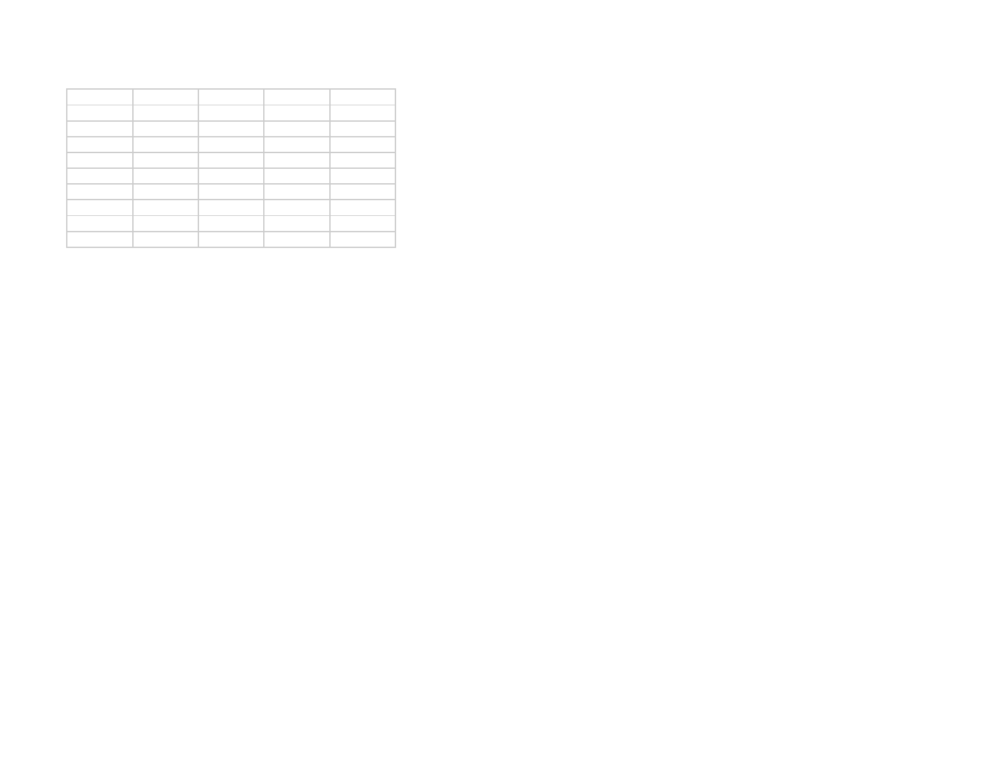|                                                                                 |                                                                                 | - 2011년 1월 20일 - 대한민국의 대한민국의 대한민국의 대한민국의 대한민국의 대한민국의 대한민국의 대한민국의 대한민국의 대한민국의 대한민국의 대한민국의 대한민국의 대한민국의 대한민국의 대한민         |                                              |
|---------------------------------------------------------------------------------|---------------------------------------------------------------------------------|------------------------------------------------------------------------------------------------------------------------|----------------------------------------------|
| -                                                                               |                                                                                 | ________                                                                                                               |                                              |
|                                                                                 | the contract of the contract of the contract of the contract of the contract of |                                                                                                                        |                                              |
|                                                                                 |                                                                                 | the contract of the contract of the contract of the contract of the contract of the contract of the contract of        | the control of the control of the            |
| the contract of the contract of the contract of the contract of the contract of |                                                                                 |                                                                                                                        | the control of the control of the            |
| the control of the control of the                                               |                                                                                 |                                                                                                                        |                                              |
|                                                                                 | the contract of the contract of the contract of                                 |                                                                                                                        |                                              |
|                                                                                 |                                                                                 | <u> La componente de la componente de la componente de la componente de la componente de la componente de la compo</u> | the control of the control of the control of |
|                                                                                 | the contract of the contract of the contract of the contract of the contract of | the control of the control of the control of the control of the control of the control of                              |                                              |
|                                                                                 | the control of the control of the                                               |                                                                                                                        |                                              |
|                                                                                 |                                                                                 |                                                                                                                        |                                              |